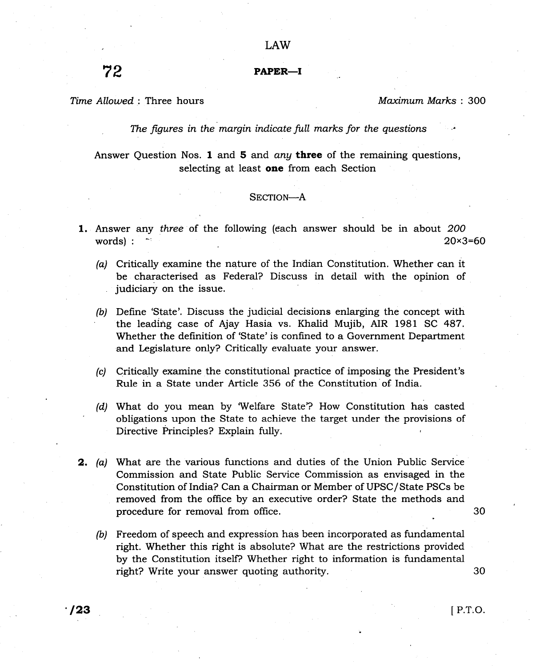# 72 PAPER-I

Time Allowed: Three hours

Maximum Marks: 300

The figures in the margin indicate full marks for the questions

Answer Question Nos. 1 and  $5$  and *any* three of the remaining questions, selecting at least one from each Section

#### SECTION-A

- 1. Answer any three of the following (each answer should be in about 200 words) :  $\sim$  20×3=60
	- (a) Critically examine the nature of the Indian Constitution. Whether can it be characterised as Federal? Discuss in detail with the opinion of judiciary on the issue.
	- (b) Define 'State'. Discuss the judicial decisions enlarging the concept with the leading case of Ajay Hasia vs. Khalid Mujib, AIR 1981 SC 487. Whether the definition of 'State'is confined to a Government Department and Legislature only? Critically evaluate your answer.
	- (c) Critically examine the constitutional practice of imposing the President's Rule in a State under Article 356 of the Constitution of India.
	- (d) What do you mean by Welfare State'? How Constitution has casted obligations upon the State to achieve the target under the provisions of Directive Frinciples? Explain fully.
- 2, (a) What are the various functions and duties of the Union Public Service Commission and State Public Service Commissioh as envisaged in the Constitution of India? Can a Chairman or Member of UPSC/State PSCs be removed from the office by an executive order? State the methods and procedure for removal from office
	- (b) Freedom of speech and expression has been incorporated as fundamental right. Whether this right is absolute? What are the restrictions provided by the Constitution itselP Whether right to information is fundamental right? Write your answer quoting authority.

30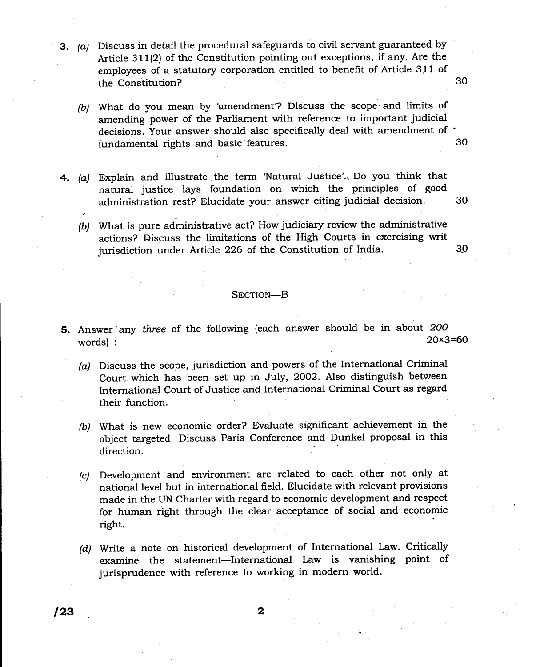- 3. (a) Discuss in detail the procedural safeguards to civil servant guaranteed by Article 311(2) of the Constitution pointing out exceptions, if any. Are the employees of a statutory corporation entitled to benefit of Article 311 of the Constitution? 30
	- (b) What do you mean by 'amendment? Discuss the scope and limits of amending power of the Parliament with reference to important judicial decisions. Your answer should also specifically deal with amendment of  $\dot{\phantom{a}}$  50 fundamental rights and basic features.
- 4. (a) Explain and illustrate,the term 'Natural Justice'.. Do you think that natural justice lays foundation on which the principles of good administration rest? Elucidate your answer citing judicial decision.
	- (b) What is pure administrative act? How judiciary review the administrative actions? Discuss the limitations of the High Courts in exercising writ jurisdiction under Article 226 of the Constitution of India.

30

30

# SECTION-B

- 5. Answer any three of the following (each answer should be in about  $200$ <br>words)  $20 \times 3 = 60$ words) : 20x3=60
	- (a) Discuss the scope, jurisdiction and powers of the International Criminal Court which has been set up in July, 2OO2. Also distinguish between International Court of Justice and International Criminal Court as regard their function.
	- (b) What is new economic order? Evaluate significant achievement in the object targeted. Discuss Paris Conference and Dunkel proposal in this direction.
	- (c) Development and environment are related to each other not only at national level but in international field. Elucidate with relevant provisions made in the UN Charter with regard to economic development and respect for human right through the clear acceptance of social and economic right.
	- (d) Write a note on historical development of International Law. Critically examine the statement-International Law is vanishing point of jurisprudence with reference to working in modern world.

 $\sqrt{23}$  2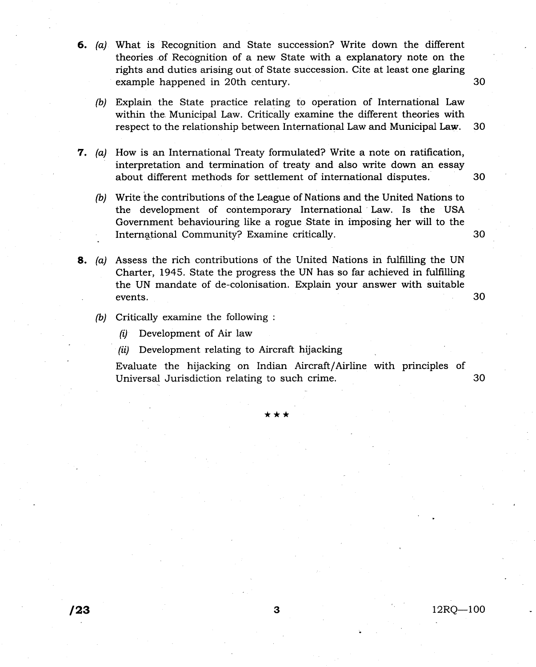- 6. (a) What is Recognition and State succession? Write down the different theories .of Recognition of a new State with a explanatory note on the rights and duties arising out of State succession. Cite at least one glaring example happened in 2oth century.
	- (b) Explain the State practice relating to operation of International Law within the. Municipal Law. Critically examine the different theories with respect to the relationship between International Law and Municipal Law. 30
- **7.** (a) How is an International Treaty formulated? Write a note on ratification, interpretation and termination of treaty and also write down an essay about different methods for settlement of international disputes.
	- (b) Write the contributions of the League of Nations and the United Nations to the development of contemporary International Law. Is the USA Government behaviouring like a rogue State in imposing her will to the International Community? Examine critically.
- 8. (a) Assess the rich contributions of the United Nations in fulfilling the UN Charter, L945. State the progress the UN has so far achieved in fulfilling the UN mandate of de-colonisation. Explain your answer with suitable events.
	- (b) Critically examine the following :
		- $(i)$  Development of Air law
		- (ii) Development relating to Aircraft hijacking

Evaluate the hijacking on Indian Aircraft/Airline with principles of Universal Jurisdiction relating to such crime. 30

\*\*\*

 $12RQ-100$ 

30

30

30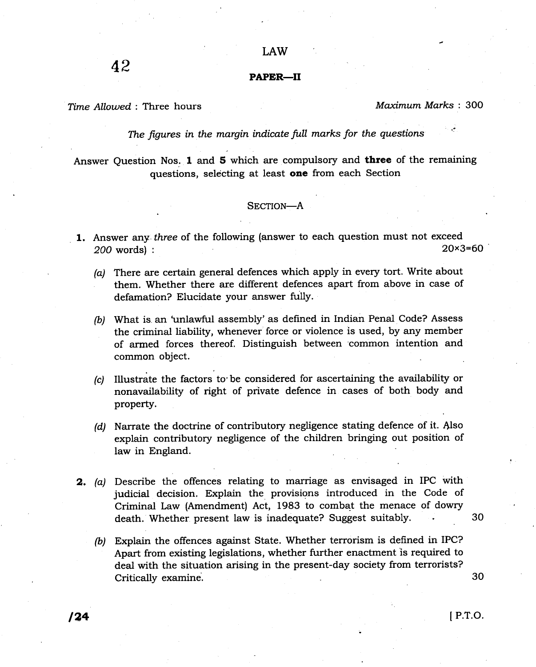LAW

## PAPER-II

Time AIIowed : Three hours

Maximum Marks : 300

The figures in the margin indicate full marks for the questions

Answer Question Nos. 1 and 5 which are compulsory and three of the remaining questions, selecting at least **one** from each Section

## SECTION-A

- 1. Answer any three of the following (answer to each question must not exceed  $200 \text{ words}$ )  $20 \times 3 = 60$ 200 words) :
	- (a) There are certain general defences which apply in every tort. Write about them. Whether there are different defences apart from above in case of defamation? Elucidate your answer fully.
	- (b) What is an 'unlawful assembly' as defined in Indian Penal Code? Assess the criminal liability, whenever force or violence is used, by any member of armed forces thereof. Distinguish between common intention and common object.
	- (c) Illustrate the factors to'be considered for ascertaining the availability or nonavailability of right of private defence in cases of both body and property.
	- (d) Narrate the doctrine of contributory negligence stating defence of it. Also explain contributory negligence of the children bringing out position of law in England.
- 2. (a) Describe the offences relating to marriage as envisaged in IPC with judicial decision. Explain the provisions introduced in the Code of Criminal Law (Amendment) Act, 1983 to combat the menace of dowry death. Whether present law is inadequate? Suggest suitably.
	- (b) Explain the offences against State. Whether terrorism is defined in IPC? Apart from existing legislations, whether further enactment is required to deal with the situation arising in the present-day society from terrorists? Critically examine.

30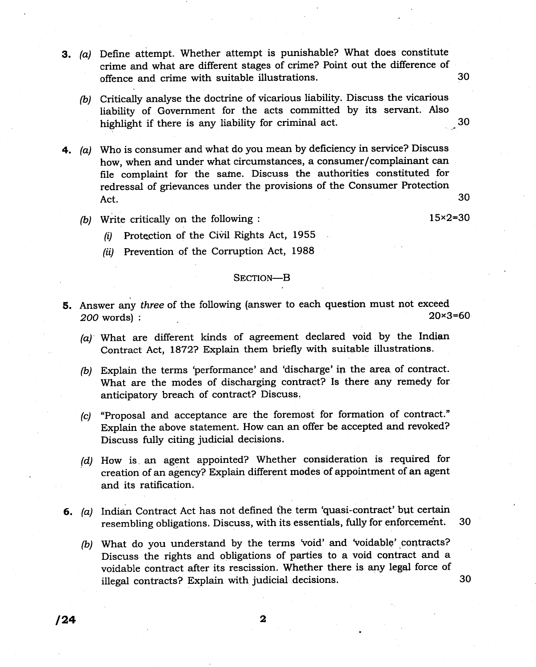- 3. (a) Define attempt. Whether attempt is punishable? What does constitute crime and what are different stages of crime? Point out the difference of offence and crime with suitable illustrations. <sup>30</sup>
	- (b) Critically analyse the doctrine of vicarious liability. Discuss the vicarious liability of Government for the acts committed by its servant. Also highlight if there is any liability for criminal act. 30
- 4. (a) Who is consumer and what do you mean by deficiency in service? Discuss how, when and under what circumstances, a consumer/complainant can file complaint for the sarne. Discuss the authorities constituted for redressal of grievances under the provisions of the Consumer Protection Act.  $30$ 
	- (b) Write critically on the following :  $15 \times 2 = 30$

- (i) Protection of the Civil Rights Act, 1955
- (ii) Prevention of the Corruption Act, 1988

#### SECTION-B

- 5. Answer any *three* of the following (answer to each question must not exceed  $200 \text{ words}$ )  $\cdot$  20×3=60  $200$  words $):$ 
	- $(a)$  What are different kinds of agreement declared void by the Indian Contract Act, 1872? Explain them briefly with suitable illustrations.
	- (b) Explain the terms 'performance' and 'discharge' in the area of contract. What are the modes of discharging contraet? Is there any remedy for anticipatory breach of contract? Discuss.
	- (c) "Proposal and acceptance are the foremost for formation of contract." Explain the above statement. How can an offer be accepted and revoked? Discuss fully citing judicial decisions.
	- (d) How is an agent appointed? Whether consideration is required for creation of an agency? Explain different modes of appointment of an agent and its ratification.
- 6. (a) Indian Contract Act has not defined the term 'quasi-contract' but certain resembling obligations. Discuss, with its essentials, fully for enforcemeht. 30
	- (b) What do you understand by the terms 'void' and 'voidable' contracts? Discuss the rights and obligations of parties to a void contract and a voidable contract after its rescission. Whether there is any legel force of illegal contracts? Explain with judicial decisions. <sup>30</sup>